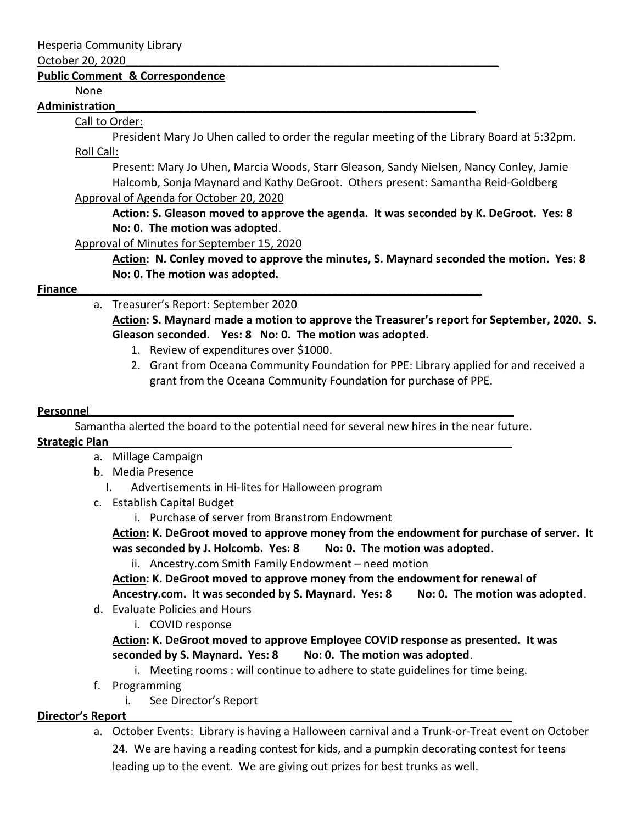#### October 20, 2020\_\_\_\_\_\_\_\_\_\_\_\_\_\_\_\_\_\_\_\_\_\_\_\_\_\_\_\_\_\_\_\_\_\_\_\_\_\_\_\_\_\_\_\_\_\_\_\_\_\_\_\_\_\_\_\_\_\_\_\_

### **Public Comment\_& Correspondence**

None

#### **Administration\_\_\_\_\_\_\_\_\_\_\_\_\_\_\_\_\_\_\_\_\_\_\_\_\_\_\_\_\_\_\_\_\_\_\_\_\_\_\_\_\_\_\_\_\_\_\_\_\_\_\_\_\_\_\_\_\_\_**

### Call to Order:

President Mary Jo Uhen called to order the regular meeting of the Library Board at 5:32pm. Roll Call:

Present: Mary Jo Uhen, Marcia Woods, Starr Gleason, Sandy Nielsen, Nancy Conley, Jamie Halcomb, Sonja Maynard and Kathy DeGroot. Others present: Samantha Reid-Goldberg

## Approval of Agenda for October 20, 2020

**Action: S. Gleason moved to approve the agenda. It was seconded by K. DeGroot. Yes: 8 No: 0. The motion was adopted**.

Approval of Minutes for September 15, 2020

**Action: N. Conley moved to approve the minutes, S. Maynard seconded the motion. Yes: 8 No: 0. The motion was adopted.**

## **Finance\_\_\_\_\_\_\_\_\_\_\_\_\_\_\_\_\_\_\_\_\_\_\_\_\_\_\_\_\_\_\_\_\_\_\_\_\_\_\_\_\_\_\_\_\_\_\_\_\_\_\_\_\_\_\_\_\_\_\_\_\_\_\_\_\_**

## a. Treasurer's Report: September 2020

**Action: S. Maynard made a motion to approve the Treasurer's report for September, 2020. S. Gleason seconded. Yes: 8 No: 0. The motion was adopted.**

- 1. Review of expenditures over \$1000.
- 2. Grant from Oceana Community Foundation for PPE: Library applied for and received a grant from the Oceana Community Foundation for purchase of PPE.

## **Personnel**

Samantha alerted the board to the potential need for several new hires in the near future.

## **Strategic Plan\_\_\_\_\_\_\_\_\_\_\_\_\_\_\_\_\_\_\_\_\_\_\_\_\_\_\_\_\_\_\_\_\_\_\_\_\_\_\_\_\_\_\_\_\_\_\_\_\_\_\_\_\_\_\_\_\_\_\_\_\_\_\_\_\_**

- a. Millage Campaign
- b. Media Presence
	- I. Advertisements in Hi-lites for Halloween program
- c. Establish Capital Budget
	- i. Purchase of server from Branstrom Endowment

**Action: K. DeGroot moved to approve money from the endowment for purchase of server. It**  was seconded by J. Holcomb. Yes: 8 No: 0. The motion was adopted.

ii. Ancestry.com Smith Family Endowment – need motion

**Action: K. DeGroot moved to approve money from the endowment for renewal of Ancestry.com. It was seconded by S. Maynard. Yes: 8 No: 0. The motion was adopted**.

- d. Evaluate Policies and Hours
	- i. COVID response

**Action: K. DeGroot moved to approve Employee COVID response as presented. It was seconded by S. Maynard. Yes: 8 No: 0. The motion was adopted**.

- i. Meeting rooms : will continue to adhere to state guidelines for time being.
- f. Programming
	- i. See Director's Report

# **Director's Report\_\_\_\_\_\_\_\_\_\_\_\_\_\_\_\_\_\_\_\_\_\_\_\_\_\_\_\_\_\_\_\_\_\_\_\_\_\_\_\_\_\_\_\_\_\_\_\_\_\_\_\_\_\_\_\_\_\_\_\_\_\_**

a. October Events: Library is having a Halloween carnival and a Trunk-or-Treat event on October

24. We are having a reading contest for kids, and a pumpkin decorating contest for teens leading up to the event. We are giving out prizes for best trunks as well.